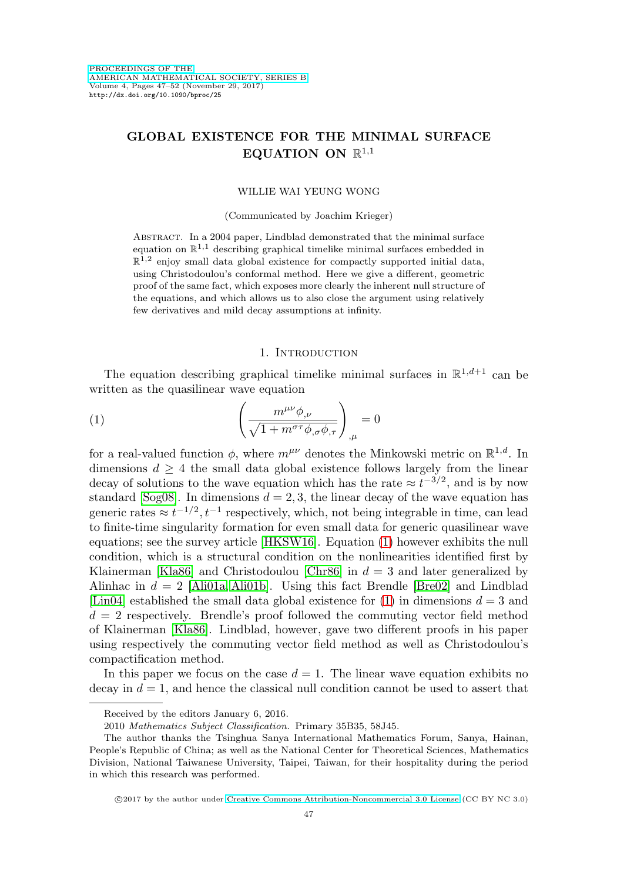# **GLOBAL EXISTENCE FOR THE MINIMAL SURFACE EQUATION ON**  $\mathbb{R}^{1,1}$

#### WILLIE WAI YEUNG WONG

#### (Communicated by Joachim Krieger)

ABSTRACT. In a 2004 paper, Lindblad demonstrated that the minimal surface equation on  $\mathbb{R}^{1,1}$  describing graphical timelike minimal surfaces embedded in  $\mathbb{R}^{1,2}$  enjoy small data global existence for compactly supported initial data, using Christodoulou's conformal method. Here we give a different, geometric proof of the same fact, which exposes more clearly the inherent null structure of the equations, and which allows us to also close the argument using relatively few derivatives and mild decay assumptions at infinity.

### 1. INTRODUCTION

The equation describing graphical timelike minimal surfaces in  $\mathbb{R}^{1,d+1}$  can be written as the quasilinear wave equation

<span id="page-0-0"></span>(1) 
$$
\left(\frac{m^{\mu\nu}\phi_{,\nu}}{\sqrt{1+m^{\sigma\tau}\phi_{,\sigma}\phi_{,\tau}}}\right)_{,\mu}=0
$$

for a real-valued function  $\phi$ , where  $m^{\mu\nu}$  denotes the Minkowski metric on  $\mathbb{R}^{1,d}$ . In dimensions  $d \geq 4$  the small data global existence follows largely from the linear decay of solutions to the wave equation which has the rate  $\approx t^{-3/2}$ , and is by now standard [\[Sog08\]](#page-5-0). In dimensions  $d = 2, 3$ , the linear decay of the wave equation has generic rates  $\approx t^{-1/2}$ ,  $t^{-1}$  respectively, which, not being integrable in time, can lead to finite-time singularity formation for even small data for generic quasilinear wave equations; see the survey article [\[HKSW16\]](#page-5-1). Equation [\(1\)](#page-0-0) however exhibits the null condition, which is a structural condition on the nonlinearities identified first by Klainerman [\[Kla86\]](#page-5-2) and Christodoulou [\[Chr86\]](#page-5-3) in  $d = 3$  and later generalized by Alinhac in  $d = 2$  [\[Ali01a,](#page-4-0) [Ali01b\]](#page-4-1). Using this fact Brendle [\[Bre02\]](#page-4-2) and Lindblad [\[Lin04\]](#page-5-4) established the small data global existence for  $(1)$  in dimensions  $d = 3$  and  $d = 2$  respectively. Brendle's proof followed the commuting vector field method of Klainerman [\[Kla86\]](#page-5-2). Lindblad, however, gave two different proofs in his paper using respectively the commuting vector field method as well as Christodoulou's compactification method.

In this paper we focus on the case  $d = 1$ . The linear wave equation exhibits no decay in  $d = 1$ , and hence the classical null condition cannot be used to assert that

Received by the editors January 6, 2016.

<sup>2010</sup> Mathematics Subject Classification. Primary 35B35, 58J45.

The author thanks the Tsinghua Sanya International Mathematics Forum, Sanya, Hainan, People's Republic of China; as well as the National Center for Theoretical Sciences, Mathematics Division, National Taiwanese University, Taipei, Taiwan, for their hospitality during the period in which this research was performed.

<sup>©2017</sup> by the author under [Creative Commons Attribution-Noncommercial 3.0 License](http://creativecommons.org/licenses/by-nc/3.0/) (CC BY NC 3.0)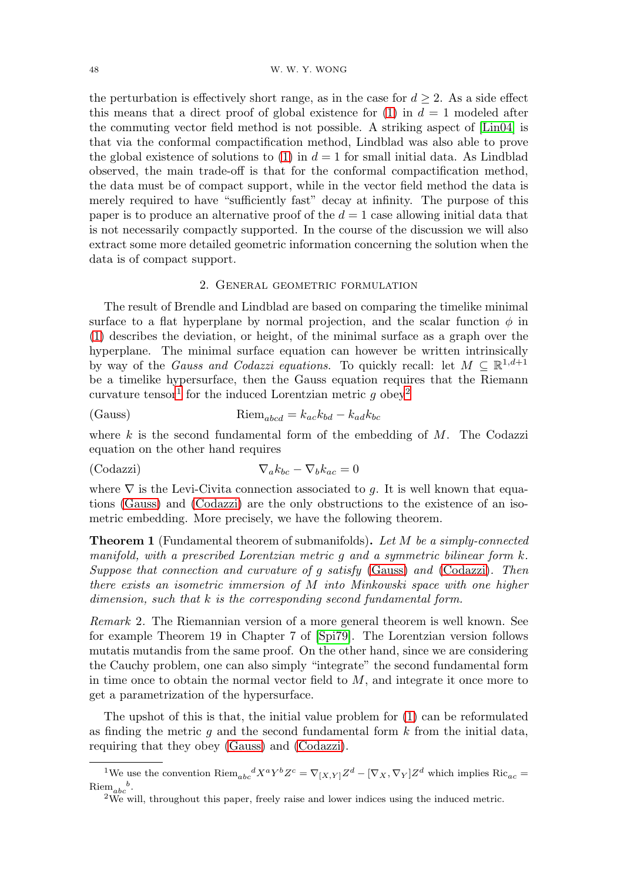the perturbation is effectively short range, as in the case for  $d \geq 2$ . As a side effect this means that a direct proof of global existence for [\(1\)](#page-0-0) in  $d = 1$  modeled after the commuting vector field method is not possible. A striking aspect of [\[Lin04\]](#page-5-4) is that via the conformal compactification method, Lindblad was also able to prove the global existence of solutions to [\(1\)](#page-0-0) in  $d = 1$  for small initial data. As Lindblad observed, the main trade-off is that for the conformal compactification method, the data must be of compact support, while in the vector field method the data is merely required to have "sufficiently fast" decay at infinity. The purpose of this paper is to produce an alternative proof of the  $d = 1$  case allowing initial data that is not necessarily compactly supported. In the course of the discussion we will also extract some more detailed geometric information concerning the solution when the data is of compact support.

### 2. General geometric formulation

The result of Brendle and Lindblad are based on comparing the timelike minimal surface to a flat hyperplane by normal projection, and the scalar function  $\phi$  in [\(1\)](#page-0-0) describes the deviation, or height, of the minimal surface as a graph over the hyperplane. The minimal surface equation can however be written intrinsically by way of the *Gauss and Codazzi equations*. To quickly recall: let  $M \subseteq \mathbb{R}^{1,d+1}$ be a timelike hypersurface, then the Gauss equation requires that the Riemann curvature tensor<sup>[1](#page-1-0)</sup> for the induced Lorentzian metric g obey<sup>[2](#page-1-1)</sup>

<span id="page-1-2"></span>(Gauss) 
$$
Riem_{abcd} = k_{ac}k_{bd} - k_{ad}k_{bc}
$$

where  $k$  is the second fundamental form of the embedding of  $M$ . The Codazzi equation on the other hand requires

<span id="page-1-3"></span>(Codazzi) 
$$
\nabla_a k_{bc} - \nabla_b k_{ac} = 0
$$

where  $\nabla$  is the Levi-Civita connection associated to g. It is well known that equations [\(Gauss\)](#page-1-2) and [\(Codazzi\)](#page-1-3) are the only obstructions to the existence of an isometric embedding. More precisely, we have the following theorem.

**Theorem 1** (Fundamental theorem of submanifolds)**.** Let M be a simply-connected manifold, with a prescribed Lorentzian metric g and a symmetric bilinear form k. Suppose that connection and curvature of g satisfy [\(Gauss\)](#page-1-2) and [\(Codazzi\)](#page-1-3). Then there exists an isometric immersion of M into Minkowski space with one higher dimension, such that k is the corresponding second fundamental form.

Remark 2. The Riemannian version of a more general theorem is well known. See for example Theorem 19 in Chapter 7 of [\[Spi79\]](#page-5-5). The Lorentzian version follows mutatis mutandis from the same proof. On the other hand, since we are considering the Cauchy problem, one can also simply "integrate" the second fundamental form in time once to obtain the normal vector field to  $M$ , and integrate it once more to get a parametrization of the hypersurface.

The upshot of this is that, the initial value problem for [\(1\)](#page-0-0) can be reformulated as finding the metric g and the second fundamental form  $k$  from the initial data, requiring that they obey [\(Gauss\)](#page-1-2) and [\(Codazzi\)](#page-1-3).

<sup>&</sup>lt;sup>1</sup>We use the convention  $\text{Riem}_{abc}{}^dX^aY^bZ^c = \nabla_{[X,Y]}Z^d - [\nabla_X,\nabla_Y]Z^d$  which implies  $\text{Ric}_{ac} = \text{Riem}_{abc}{}^b$ .

<span id="page-1-1"></span><span id="page-1-0"></span> $2W_{\rm e}$  will, throughout this paper, freely raise and lower indices using the induced metric.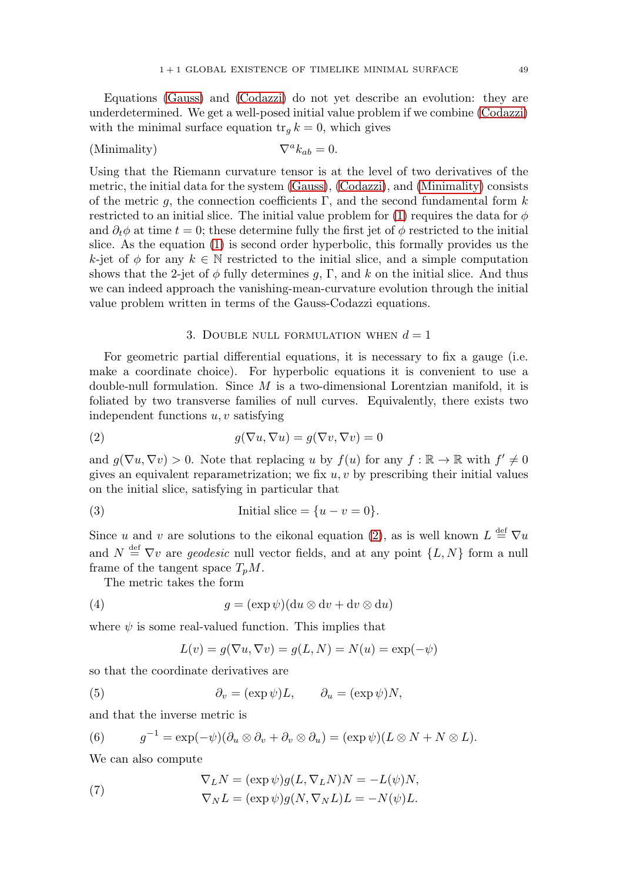Equations [\(Gauss\)](#page-1-2) and [\(Codazzi\)](#page-1-3) do not yet describe an evolution: they are underdetermined. We get a well-posed initial value problem if we combine [\(Codazzi\)](#page-1-3) with the minimal surface equation  $tr_a k = 0$ , which gives

<span id="page-2-0"></span>(Minimality) 
$$
\nabla^a k_{ab} = 0.
$$

Using that the Riemann curvature tensor is at the level of two derivatives of the metric, the initial data for the system [\(Gauss\)](#page-1-2), [\(Codazzi\)](#page-1-3), and [\(Minimality\)](#page-2-0) consists of the metric q, the connection coefficients Γ, and the second fundamental form  $k$ restricted to an initial slice. The initial value problem for [\(1\)](#page-0-0) requires the data for  $\phi$ and  $\partial_t \phi$  at time  $t = 0$ ; these determine fully the first jet of  $\phi$  restricted to the initial slice. As the equation [\(1\)](#page-0-0) is second order hyperbolic, this formally provides us the k-jet of  $\phi$  for any  $k \in \mathbb{N}$  restricted to the initial slice, and a simple computation shows that the 2-jet of  $\phi$  fully determines g, Γ, and k on the initial slice. And thus we can indeed approach the vanishing-mean-curvature evolution through the initial value problem written in terms of the Gauss-Codazzi equations.

#### 3. DOUBLE NULL FORMULATION WHEN  $d=1$

For geometric partial differential equations, it is necessary to fix a gauge (i.e. make a coordinate choice). For hyperbolic equations it is convenient to use a double-null formulation. Since  $M$  is a two-dimensional Lorentzian manifold, it is foliated by two transverse families of null curves. Equivalently, there exists two independent functions  $u, v$  satisfying

<span id="page-2-1"></span>(2) 
$$
g(\nabla u, \nabla u) = g(\nabla v, \nabla v) = 0
$$

and  $g(\nabla u, \nabla v) > 0$ . Note that replacing u by  $f(u)$  for any  $f : \mathbb{R} \to \mathbb{R}$  with  $f' \neq 0$ gives an equivalent reparametrization; we fix  $u, v$  by prescribing their initial values on the initial slice, satisfying in particular that

(3) Initial slice = 
$$
\{u - v = 0\}.
$$

Since u and v are solutions to the eikonal equation [\(2\)](#page-2-1), as is well known  $L \stackrel{\text{def}}{=} \nabla u$ and  $N \stackrel{\text{def}}{=} \nabla v$  are *geodesic* null vector fields, and at any point  $\{L, N\}$  form a null frame of the tangent space  $T_pM$ .

The metric takes the form

(4) 
$$
g = (\exp \psi)(\mathrm{d}u \otimes \mathrm{d}v + \mathrm{d}v \otimes \mathrm{d}u)
$$

where  $\psi$  is some real-valued function. This implies that

$$
L(v) = g(\nabla u, \nabla v) = g(L, N) = N(u) = \exp(-\psi)
$$

so that the coordinate derivatives are

(5) 
$$
\partial_v = (\exp \psi)L, \qquad \partial_u = (\exp \psi)N,
$$

and that the inverse metric is

(6) 
$$
g^{-1} = \exp(-\psi)(\partial_u \otimes \partial_v + \partial_v \otimes \partial_u) = (\exp \psi)(L \otimes N + N \otimes L).
$$

We can also compute

(7) 
$$
\nabla_L N = (\exp \psi) g(L, \nabla_L N) N = -L(\psi) N,
$$

$$
\nabla_N L = (\exp \psi) g(N, \nabla_N L) L = -N(\psi) L.
$$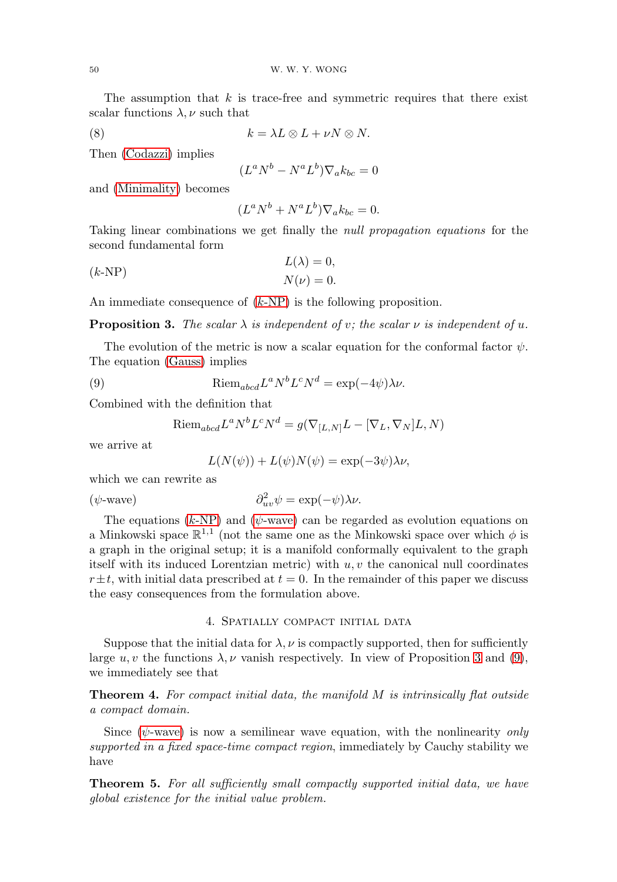The assumption that  $k$  is trace-free and symmetric requires that there exist scalar functions  $\lambda, \nu$  such that

$$
(8) \t k = \lambda L \otimes L + \nu N \otimes N.
$$

Then [\(Codazzi\)](#page-1-3) implies

$$
(L^a N^b - N^a L^b) \nabla_a k_{bc} = 0
$$

and [\(Minimality\)](#page-2-0) becomes

$$
(L^a N^b + N^a L^b) \nabla_a k_{bc} = 0.
$$

Taking linear combinations we get finally the null propagation equations for the second fundamental form

<span id="page-3-0"></span>
$$
L(\lambda) = 0,
$$
  

$$
N(\nu) = 0.
$$

An immediate consequence of (k[-NP\)](#page-3-0) is the following proposition.

<span id="page-3-2"></span>**Proposition 3.** The scalar  $\lambda$  is independent of v; the scalar  $\nu$  is independent of u.

The evolution of the metric is now a scalar equation for the conformal factor  $\psi$ . The equation [\(Gauss\)](#page-1-2) implies

<span id="page-3-3"></span>(9) 
$$
\text{Riem}_{abcd}L^aN^bL^cN^d = \exp(-4\psi)\lambda\nu.
$$

Combined with the definition that

Riem<sub>abcd</sub> 
$$
L^a N^b L^c N^d = g(\nabla_{[L,N]}L - [\nabla_L, \nabla_N]L, N)
$$

we arrive at

$$
L(N(\psi)) + L(\psi)N(\psi) = \exp(-3\psi)\lambda \nu,
$$

which we can rewrite as

<span id="page-3-1"></span>
$$
(\psi\text{-wave}) \qquad \qquad \partial^2_{uv}\psi = \exp(-\psi)\lambda\nu.
$$

The equations  $(k-NP)$  $(k-NP)$  and  $(\psi$ [-wave\)](#page-3-1) can be regarded as evolution equations on a Minkowski space  $\mathbb{R}^{1,1}$  (not the same one as the Minkowski space over which  $\phi$  is a graph in the original setup; it is a manifold conformally equivalent to the graph itself with its induced Lorentzian metric) with  $u, v$  the canonical null coordinates  $r \pm t$ , with initial data prescribed at  $t = 0$ . In the remainder of this paper we discuss the easy consequences from the formulation above.

### 4. Spatially compact initial data

Suppose that the initial data for  $\lambda, \nu$  is compactly supported, then for sufficiently large  $u, v$  the functions  $\lambda, \nu$  vanish respectively. In view of Proposition [3](#page-3-2) and [\(9\)](#page-3-3), we immediately see that

**Theorem 4.** For compact initial data, the manifold M is intrinsically flat outside a compact domain.

Since  $(\psi$ [-wave\)](#page-3-1) is now a semilinear wave equation, with the nonlinearity only supported in a fixed space-time compact region, immediately by Cauchy stability we have

**Theorem 5.** For all sufficiently small compactly supported initial data, we have global existence for the initial value problem.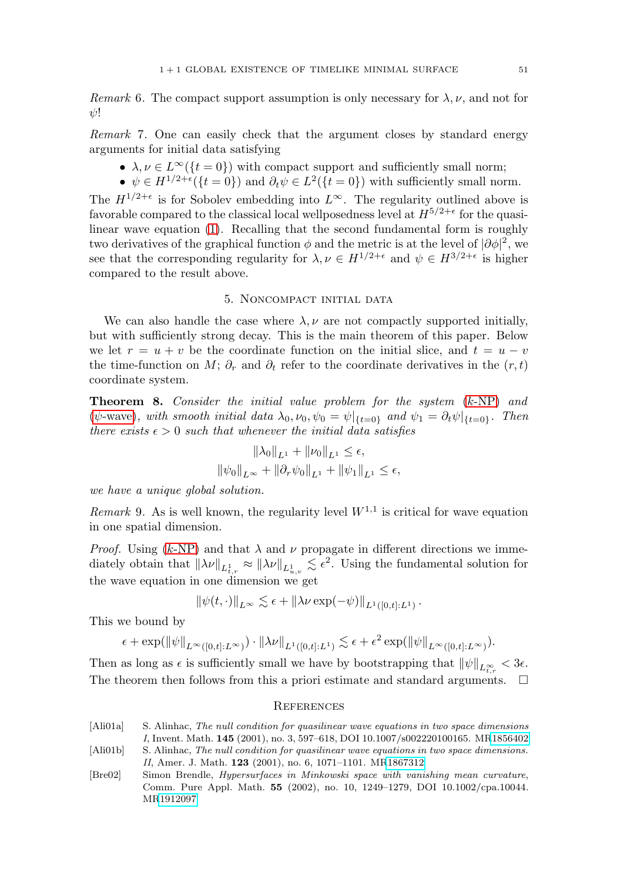Remark 6. The compact support assumption is only necessary for  $\lambda, \nu$ , and not for  $\psi!$ 

Remark 7. One can easily check that the argument closes by standard energy arguments for initial data satisfying

- $\lambda, \nu \in L^{\infty}(\{t = 0\})$  with compact support and sufficiently small norm;
- $\psi \in H^{1/2+\epsilon}(\{t=0\})$  and  $\partial_t \psi \in L^2(\{t=0\})$  with sufficiently small norm.

The  $H^{1/2+\epsilon}$  is for Sobolev embedding into  $L^{\infty}$ . The regularity outlined above is favorable compared to the classical local wellposedness level at  $H^{5/2+\epsilon}$  for the quasilinear wave equation [\(1\)](#page-0-0). Recalling that the second fundamental form is roughly two derivatives of the graphical function  $\phi$  and the metric is at the level of  $|\partial \phi|^2$ , we see that the corresponding regularity for  $\lambda, \nu \in H^{1/2+\epsilon}$  and  $\psi \in H^{3/2+\epsilon}$  is higher compared to the result above.

#### 5. Noncompact initial data

We can also handle the case where  $\lambda, \nu$  are not compactly supported initially, but with sufficiently strong decay. This is the main theorem of this paper. Below we let  $r = u + v$  be the coordinate function on the initial slice, and  $t = u - v$ the time-function on M;  $\partial_r$  and  $\partial_t$  refer to the coordinate derivatives in the  $(r, t)$ coordinate system.

**Theorem 8.** Consider the initial value problem for the system (k[-NP\)](#page-3-0) and ( $\psi$ [-wave\)](#page-3-1), with smooth initial data  $\lambda_0, \nu_0, \psi_0 = \psi|_{\{t=0\}}$  and  $\psi_1 = \partial_t \psi|_{\{t=0\}}$ . Then there exists  $\epsilon > 0$  such that whenever the initial data satisfies

$$
\|\lambda_0\|_{L^1} + \|\nu_0\|_{L^1} \le \epsilon,
$$
  

$$
\|\psi_0\|_{L^\infty} + \|\partial_r \psi_0\|_{L^1} + \|\psi_1\|_{L^1} \le \epsilon,
$$

we have a unique global solution.

*Remark* 9. As is well known, the regularity level  $W^{1,1}$  is critical for wave equation in one spatial dimension.

*Proof.* Using (k[-NP\)](#page-3-0) and that  $\lambda$  and  $\nu$  propagate in different directions we immediately obtain that  $\|\lambda\nu\|_{L^1_{t,r}} \approx \|\lambda\nu\|_{L^1_{u,v}} \lesssim \epsilon^2$ . Using the fundamental solution for the wave equation in one dimension we get

$$
\|\psi(t,\cdot)\|_{L^\infty} \lesssim \epsilon + \|\lambda \nu \exp(-\psi)\|_{L^1([0,t]:L^1)}.
$$

This we bound by

$$
\epsilon+\exp(\|\psi\|_{L^\infty([0,t];L^\infty)})\cdot\|\lambda\nu\|_{L^1([0,t];L^1)}\lesssim \epsilon+\epsilon^2\exp(\|\psi\|_{L^\infty([0,t];L^\infty)}).
$$

Then as long as  $\epsilon$  is sufficiently small we have by bootstrapping that  $\|\psi\|_{L^{\infty}_{t,r}} < 3\epsilon$ . The theorem then follows from this a priori estimate and standard arguments.  $\Box$ 

#### **REFERENCES**

- <span id="page-4-0"></span>[Ali01a] S. Alinhac, The null condition for quasilinear wave equations in two space dimensions I, Invent. Math. **145** (2001), no. 3, 597–618, DOI 10.1007/s002220100165. M[R1856402](http://www.ams.org/mathscinet-getitem?mr=1856402)
- <span id="page-4-1"></span>[Ali01b] S. Alinhac, The null condition for quasilinear wave equations in two space dimensions. II, Amer. J. Math. **123** (2001), no. 6, 1071–1101. M[R1867312](http://www.ams.org/mathscinet-getitem?mr=1867312)
- <span id="page-4-2"></span>[Bre02] Simon Brendle, Hypersurfaces in Minkowski space with vanishing mean curvature, Comm. Pure Appl. Math. **55** (2002), no. 10, 1249–1279, DOI 10.1002/cpa.10044. M[R1912097](http://www.ams.org/mathscinet-getitem?mr=1912097)